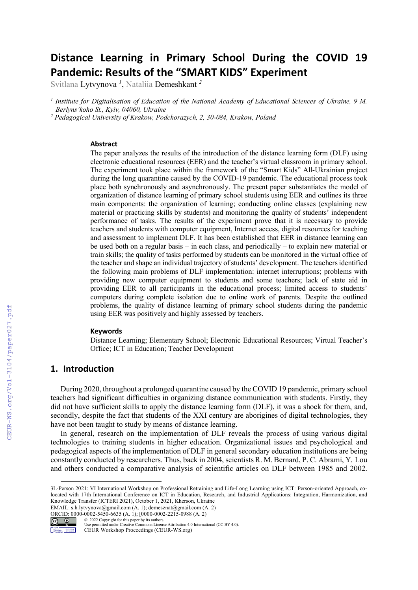# Distance Learning in Primary School During the COVID 19 Pandemic: Results of the "SMART KIDS" Experiment

Svitlana Lytvynova *<sup>1</sup>* , Nataliia Demeshkant *<sup>2</sup>*

<sup>1</sup> Institute for Digitalisation of Education of the National Academy of Educational Sciences of Ukraine, 9 M. *Berlyns'koho St., Kyiv, 04060, Ukraine* 

<sup>2</sup> Pedagogical University of Krakow, Podchorazych, 2, 30-084, Krakow, Poland

#### Abstract

The paper analyzes the results of the introduction of the distance learning form (DLF) using electronic educational resources (EER) and the teacher's virtual classroom in primary school. The experiment took place within the framework of the "Smart Kids" All-Ukrainian project during the long quarantine caused by the COVID-19 pandemic. The educational process took place both synchronously and asynchronously. The present paper substantiates the model of organization of distance learning of primary school students using EER and outlines its three main components: the organization of learning; conducting online classes (explaining new material or practicing skills by students) and monitoring the quality of students' independent performance of tasks. The results of the experiment prove that it is necessary to provide teachers and students with computer equipment, Internet access, digital resources for teaching and assessment to implement DLF. It has been established that EER in distance learning can be used both on a regular basis – in each class, and periodically – to explain new material or train skills; the quality of tasks performed by students can be monitored in the virtual office of the teacher and shape an individual trajectory of students' development. The teachers identified the following main problems of DLF implementation: internet interruptions; problems with providing new computer equipment to students and some teachers; lack of state aid in providing EER to all participants in the educational process; limited access to students' computers during complete isolation due to online work of parents. Despite the outlined problems, the quality of distance learning of primary school students during the pandemic using EER was positively and highly assessed by teachers.

#### **Keywords**

Distance Learning; Elementary School; Electronic Educational Resources; Virtual Teacher's Office; ICT in Education; Teacher Development

# 1. Introduction

During 2020, throughout a prolonged quarantine caused by the COVID 19 pandemic, primary school teachers had significant difficulties in organizing distance communication with students. Firstly, they did not have sufficient skills to apply the distance learning form (DLF), it was a shock for them, and, secondly, despite the fact that students of the XXI century are aborigines of digital technologies, they have not been taught to study by means of distance learning.

In general, research on the implementation of DLF reveals the process of using various digital technologies to training students in higher education. Organizational issues and psychological and pedagogical aspects of the implementation of DLF in general secondary education institutions are being constantly conducted by researchers. Thus, back in 2004, scientists R. M. Bernard, P. C. Abrami, Y. Lou and others conducted a comparative analysis of scientific articles on DLF between 1985 and 2002.

EMAIL: s.h.lytvynova@gmail.com (A. 1); demesznat@gmail.com (A. 2) ORCID: 0000-0002-5450-6635 (A. 1); [0000-0002-2215-0988 (A. 2)<br>  $Q = 0$   $Q = 2022$  Copyright for this paper by its authors.



<sup>© 2022</sup> Copyright for this paper by its authors. Use permitted under Creative Commons License Attribution 4.0 International (CC BY 4.0).

<sup>3</sup>L-Person 2021: VI International Workshop on Professional Retraining and Life-Long Learning using ICT: Person-oriented Approach, colocated with 17th International Conference on ICT in Education, Research, and Industrial Applications: Integration, Harmonization, and Knowledge Transfer (ICTERI 2021), October 1, 2021, Kherson, Ukraine

**MAGNES** CEUR Workshop Proceedings (CEUR-WS.org)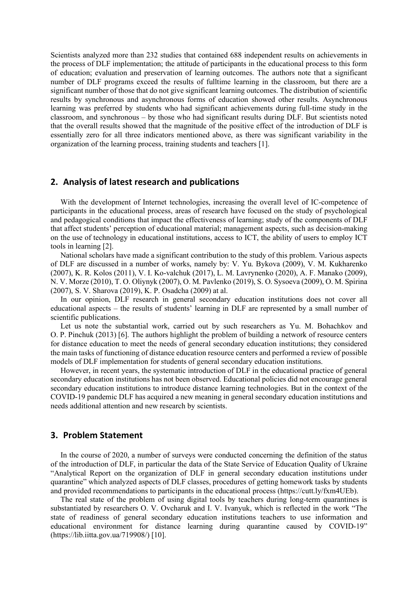Scientists analyzed more than 232 studies that contained 688 independent results on achievements in the process of DLF implementation; the attitude of participants in the educational process to this form of education; evaluation and preservation of learning outcomes. The authors note that a significant number of DLF programs exceed the results of fulltime learning in the classroom, but there are a significant number of those that do not give significant learning outcomes. The distribution of scientific results by synchronous and asynchronous forms of education showed other results. Asynchronous learning was preferred by students who had significant achievements during full-time study in the classroom, and synchronous – by those who had significant results during DLF. But scientists noted that the overall results showed that the magnitude of the positive effect of the introduction of DLF is essentially zero for all three indicators mentioned above, as there was significant variability in the organization of the learning process, training students and teachers [1].

## 2. Analysis of latest research and publications

With the development of Internet technologies, increasing the overall level of IC-competence of participants in the educational process, areas of research have focused on the study of psychological and pedagogical conditions that impact the effectiveness of learning; study of the components of DLF that affect students' perception of educational material; management aspects, such as decision-making on the use of technology in educational institutions, access to ICT, the ability of users to employ ICT tools in learning [2].

National scholars have made a significant contribution to the study of this problem. Various aspects of DLF are discussed in a number of works, namely by: V. Yu. Bykova (2009), V. M. Kukharenko (2007), K. R. Kolos (2011), V. I. Ko-valchuk (2017), L. M. Lavrynenko (2020), A. F. Manako (2009), N. V. Morze (2010), T. O. Oliynyk (2007), O. M. Pavlenko (2019), S. O. Sysoeva (2009), O. M. Spirina (2007), S. V. Sharova (2019), K. P. Osadcha (2009) at al.

In our opinion, DLF research in general secondary education institutions does not cover all educational aspects – the results of students' learning in DLF are represented by a small number of scientific publications.

Let us note the substantial work, carried out by such researchers as Yu. M. Bohachkov and O. P. Pinchuk (2013) [6]. The authors highlight the problem of building a network of resource centers for distance education to meet the needs of general secondary education institutions; they considered the main tasks of functioning of distance education resource centers and performed a review of possible models of DLF implementation for students of general secondary education institutions.

However, in recent years, the systematic introduction of DLF in the educational practice of general secondary education institutions has not been observed. Educational policies did not encourage general secondary education institutions to introduce distance learning technologies. But in the context of the COVID-19 pandemic DLF has acquired a new meaning in general secondary education institutions and needs additional attention and new research by scientists.

## 3. Problem Statement

In the course of 2020, a number of surveys were conducted concerning the definition of the status of the introduction of DLF, in particular the data of the State Service of Education Quality of Ukraine "Analytical Report on the organization of DLF in general secondary education institutions under quarantine" which analyzed aspects of DLF classes, procedures of getting homework tasks by students and provided recommendations to participants in the educational process (https://cutt.ly/fxm4UEb).

The real state of the problem of using digital tools by teachers during long-term quarantines is substantiated by researchers O. V. Ovcharuk and I. V. Ivanyuk, which is reflected in the work "The state of readiness of general secondary education institutions teachers to use information and educational environment for distance learning during quarantine caused by COVID-19" (https://lib.iitta.gov.ua/719908/) [10].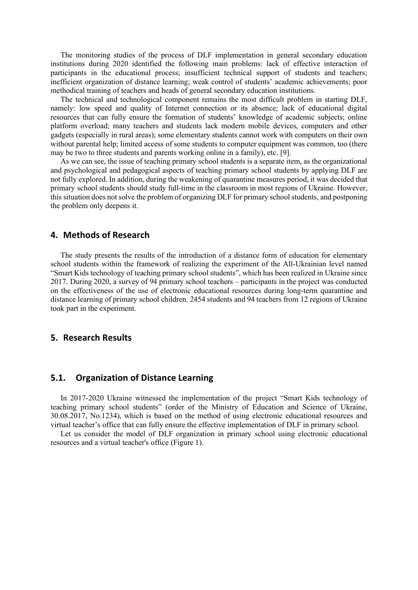The monitoring studies of the process of DLF implementation in general secondary education institutions during 2020 identified the following main problems: lack of effective interaction of participants in the educational process; insufficient technical support of students and teachers; inefficient organization of distance learning; weak control of students' academic achievements; poor methodical training of teachers and heads of general secondary education institutions.

The technical and technological component remains the most difficult problem in starting DLF, namely: low speed and quality of Internet connection or its absence; lack of educational digital resources that can fully ensure the formation of students' knowledge of academic subjects; online platform overload; many teachers and students lack modern mobile devices, computers and other gadgets (especially in rural areas); some elementary students cannot work with computers on their own without parental help; limited access of some students to computer equipment was common, too (there may be two to three students and parents working online in a family), etc. [9].

As we can see, the issue of teaching primary school students is a separate item, as the organizational and psychological and pedagogical aspects of teaching primary school students by applying DLF are not fully explored. In addition, during the weakening of quarantine measures period, it was decided that primary school students should study full-time in the classroom in most regions of Ukraine. However, this situation does not solve the problem of organizing DLF for primary school students, and postponing the problem only deepens it.

## 4. Methods of Research

The study presents the results of the introduction of a distance form of education for elementary school students within the framework of realizing the experiment of the All-Ukrainian level named "Smart Kids technology of teaching primary school students", which has been realized in Ukraine since 2017. During 2020, a survey of 94 primary school teachers – participants in the project was conducted on the effectiveness of the use of electronic educational resources during long-term quarantine and distance learning of primary school children. 2454 students and 94 teachers from 12 regions of Ukraine took part in the experiment.

## 5. Research Results

## 5.1. Organization of Distance Learning

In 2017-2020 Ukraine witnessed the implementation of the project "Smart Kids technology of teaching primary school students" (order of the Ministry of Education and Science of Ukraine, 30.08.2017, No.1234), which is based on the method of using electronic educational resources and virtual teacher's office that can fully ensure the effective implementation of DLF in primary school.

Let us consider the model of DLF organization in primary school using electronic educational resources and a virtual teacher's office (Figure 1).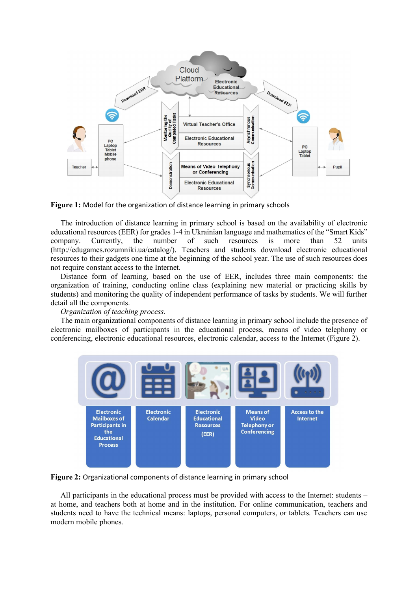

Figure 1: Model for the organization of distance learning in primary schools

The introduction of distance learning in primary school is based on the availability of electronic educational resources (EER) for grades 1-4 in Ukrainian language and mathematics of the "Smart Kids" company. Currently, the number of such resources is more than 52 units (http://edugames.rozumniki.ua/catalog/). Teachers and students download electronic educational resources to their gadgets one time at the beginning of the school year. The use of such resources does not require constant access to the Internet.

Distance form of learning, based on the use of EER, includes three main components: the organization of training, conducting online class (explaining new material or practicing skills by students) and monitoring the quality of independent performance of tasks by students. We will further detail all the components.

## *Organization of teaching process*.

The main organizational components of distance learning in primary school include the presence of electronic mailboxes of participants in the educational process, means of video telephony or conferencing, electronic educational resources, electronic calendar, access to the Internet (Figure 2).



Figure 2: Organizational components of distance learning in primary school

All participants in the educational process must be provided with access to the Internet: students – at home, and teachers both at home and in the institution. For online communication, teachers and students need to have the technical means: laptops, personal computers, or tablets. Teachers can use modern mobile phones.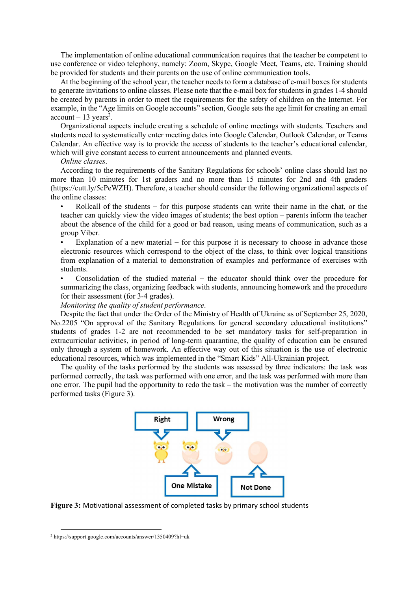The implementation of online educational communication requires that the teacher be competent to use conference or video telephony, namely: Zoom, Skype, Google Meet, Teams, etc. Training should be provided for students and their parents on the use of online communication tools.

At the beginning of the school year, the teacher needs to form a database of e-mail boxes for students to generate invitations to online classes. Please note that the e-mail box for students in grades 1-4 should be created by parents in order to meet the requirements for the safety of children on the Internet. For example, in the "Age limits on Google accounts" section, Google sets the age limit for creating an email  $account - 13 years<sup>2</sup>$ .

Organizational aspects include creating a schedule of online meetings with students. Teachers and students need to systematically enter meeting dates into Google Calendar, Outlook Calendar, or Teams Calendar. An effective way is to provide the access of students to the teacher's educational calendar, which will give constant access to current announcements and planned events.

#### *Online classes*.

According to the requirements of the Sanitary Regulations for schools' online class should last no more than 10 minutes for 1st graders and no more than 15 minutes for 2nd and 4th graders (https://cutt.ly/5cPeWZH). Therefore, a teacher should consider the following organizational aspects of the online classes:

Rollcall of the students  $-$  for this purpose students can write their name in the chat, or the teacher can quickly view the video images of students; the best option – parents inform the teacher about the absence of the child for a good or bad reason, using means of communication, such as a group Viber.

Explanation of a new material  $-$  for this purpose it is necessary to choose in advance those electronic resources which correspond to the object of the class, to think over logical transitions from explanation of a material to demonstration of examples and performance of exercises with students.

Consolidation of the studied material  $-$  the educator should think over the procedure for summarizing the class, organizing feedback with students, announcing homework and the procedure for their assessment (for 3-4 grades).

*Monitoring the quality of student performance*.

Despite the fact that under the Order of the Ministry of Health of Ukraine as of September 25, 2020, No.2205 "On approval of the Sanitary Regulations for general secondary educational institutions" students of grades 1-2 are not recommended to be set mandatory tasks for self-preparation in extracurricular activities, in period of long-term quarantine, the quality of education can be ensured only through a system of homework. An effective way out of this situation is the use of electronic educational resources, which was implemented in the "Smart Kids" All-Ukrainian project.

The quality of the tasks performed by the students was assessed by three indicators: the task was performed correctly, the task was performed with one error, and the task was performed with more than one error. The pupil had the opportunity to redo the task – the motivation was the number of correctly performed tasks (Figure 3).



Figure 3: Motivational assessment of completed tasks by primary school students

<sup>2</sup> https://support.google.com/accounts/answer/1350409?hl=uk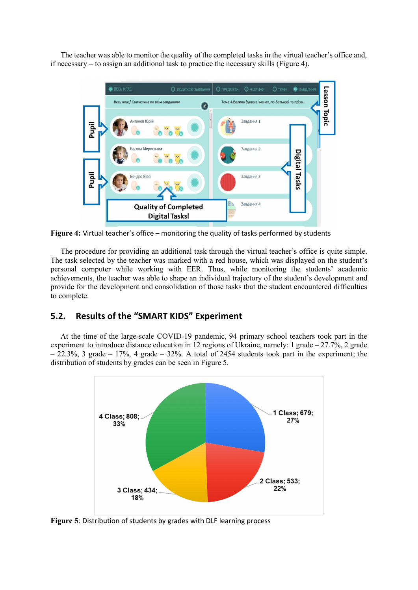The teacher was able to monitor the quality of the completed tasks in the virtual teacher's office and, if necessary – to assign an additional task to practice the necessary skills (Figure 4).



Figure 4: Virtual teacher's office – monitoring the quality of tasks performed by students

The procedure for providing an additional task through the virtual teacher's office is quite simple. The task selected by the teacher was marked with a red house, which was displayed on the student's personal computer while working with EER. Thus, while monitoring the students' academic achievements, the teacher was able to shape an individual trajectory of the student's development and provide for the development and consolidation of those tasks that the student encountered difficulties to complete.

# 5.2. Results of the "SMART KIDS" Experiment

At the time of the large-scale COVID-19 pandemic, 94 primary school teachers took part in the experiment to introduce distance education in 12 regions of Ukraine, namely: 1 grade – 27.7%, 2 grade  $-$  22.3%, 3 grade  $-$  17%, 4 grade  $-$  32%. A total of 2454 students took part in the experiment; the distribution of students by grades can be seen in Figure 5.



Figure 5: Distribution of students by grades with DLF learning process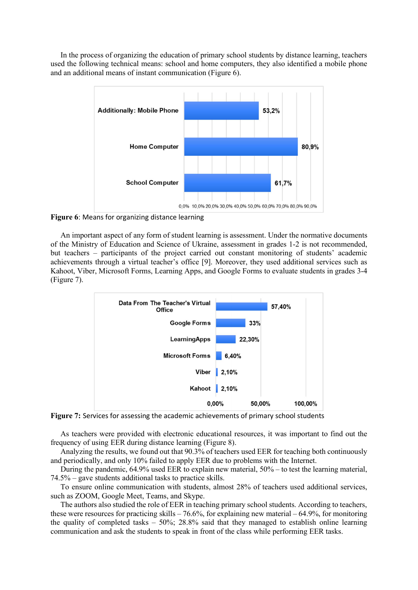In the process of organizing the education of primary school students by distance learning, teachers used the following technical means: school and home computers, they also identified a mobile phone and an additional means of instant communication (Figure  $\overline{6}$ ).



Figure 6: Means for organizing distance learning

An important aspect of any form of student learning is assessment. Under the normative documents of the Ministry of Education and Science of Ukraine, assessment in grades 1-2 is not recommended, but teachers – participants of the project carried out constant monitoring of students' academic achievements through a virtual teacher's office [9]. Moreover, they used additional services such as Kahoot, Viber, Microsoft Forms, Learning Apps, and Google Forms to evaluate students in grades 3-4 (Figure 7).



Figure 7: Services for assessing the academic achievements of primary school students

As teachers were provided with electronic educational resources, it was important to find out the frequency of using EER during distance learning (Figure 8).

Analyzing the results, we found out that 90.3% of teachers used EER for teaching both continuously and periodically, and only 10% failed to apply EER due to problems with the Internet.

During the pandemic, 64.9% used EER to explain new material, 50% – to test the learning material, 74.5% – gave students additional tasks to practice skills.

To ensure online communication with students, almost 28% of teachers used additional services, such as ZOOM, Google Meet, Teams, and Skype.

The authors also studied the role of EER in teaching primary school students. According to teachers, these were resources for practicing skills – 76.6%, for explaining new material – 64.9%, for monitoring the quality of completed tasks  $-50\%$ ; 28.8% said that they managed to establish online learning communication and ask the students to speak in front of the class while performing EER tasks.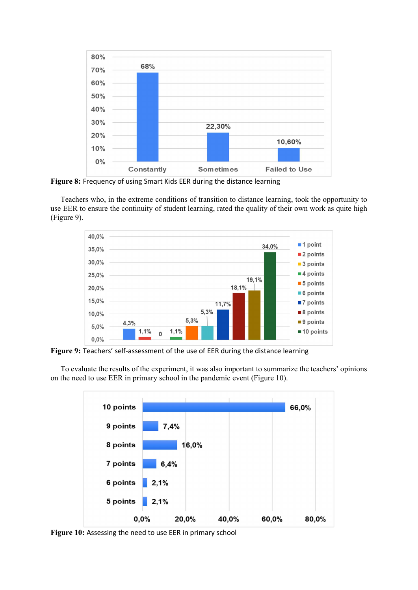

Figure 8: Frequency of using Smart Kids EER during the distance learning

Teachers who, in the extreme conditions of transition to distance learning, took the opportunity to use EER to ensure the continuity of student learning, rated the quality of their own work as quite high (Figure 9).



Figure 9: Teachers' self-assessment of the use of EER during the distance learning

To evaluate the results of the experiment, it was also important to summarize the teachers' opinions on the need to use EER in primary school in the pandemic event (Figure 10).



Figure 10: Assessing the need to use EER in primary school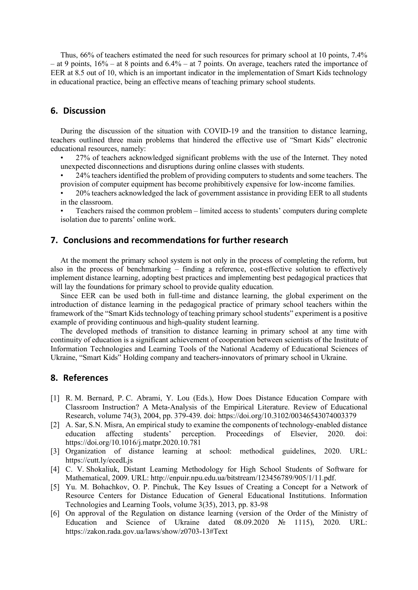Thus, 66% of teachers estimated the need for such resources for primary school at 10 points, 7.4% – at 9 points,  $16\%$  – at 8 points and  $6.4\%$  – at 7 points. On average, teachers rated the importance of EER at 8.5 out of 10, which is an important indicator in the implementation of Smart Kids technology in educational practice, being an effective means of teaching primary school students.

# 6. Discussion

During the discussion of the situation with COVID-19 and the transition to distance learning, teachers outlined three main problems that hindered the effective use of "Smart Kids" electronic educational resources, namely:

- 27% of teachers acknowledged significant problems with the use of the Internet. They noted unexpected disconnections and disruptions during online classes with students.
- 24% teachers identified the problem of providing computers to students and some teachers. The provision of computer equipment has become prohibitively expensive for low-income families.
- 20% teachers acknowledged the lack of government assistance in providing EER to all students in the classroom.
- Teachers raised the common problem limited access to students' computers during complete isolation due to parents' online work.

# 7. Conclusions and recommendations for further research

At the moment the primary school system is not only in the process of completing the reform, but also in the process of benchmarking – finding a reference, cost-effective solution to effectively implement distance learning, adopting best practices and implementing best pedagogical practices that will lay the foundations for primary school to provide quality education.

Since EER can be used both in full-time and distance learning, the global experiment on the introduction of distance learning in the pedagogical practice of primary school teachers within the framework of the "Smart Kids technology of teaching primary school students" experiment is a positive example of providing continuous and high-quality student learning.

The developed methods of transition to distance learning in primary school at any time with continuity of education is a significant achievement of cooperation between scientists of the Institute of Information Technologies and Learning Tools of the National Academy of Educational Sciences of Ukraine, "Smart Kids" Holding company and teachers-innovators of primary school in Ukraine.

### 8. References

- [1] R. M. Bernard, P. C. Abrami, Y. Lou (Eds.), How Does Distance Education Compare with Classroom Instruction? A Meta-Analysis of the Empirical Literature. Review of Educational Research, volume 74(3), 2004, pp. 379-439. doi: https://doi.org/10.3102/00346543074003379
- [2] A. Sar, S.N. Misra, An empirical study to examine the components of technology-enabled distance<br>education affecting students' perception. Proceedings of Elsevier. 2020. doi: education affecting students' perception. Proceedings of Elsevier, 2020. doi: https://doi.org/10.1016/j.matpr.2020.10.781
- [3] Organization of distance learning at school: methodical guidelines, 2020. URL: https://cutt.ly/ecedLjs
- [4] C. V. Shokaliuk, Distant Learning Methodology for High School Students of Software for Mathematical, 2009. URL: http://enpuir.npu.edu.ua/bitstream/123456789/905/1/11.pdf.
- [5] Yu. M. Bohachkov, O. P. Pinchuk, The Key Issues of Creating a Concept for a Network of Resource Centers for Distance Education of General Educational Institutions. Information Technologies and Learning Tools, volume 3(35), 2013, pp. 83-98
- [6] On approval of the Regulation on distance learning (version of the Order of the Ministry of Education and Science of Ukraine dated  $08.09.2020$  No  $1115$ , 2020. URL: https://zakon.rada.gov.ua/laws/show/z0703-13#Text